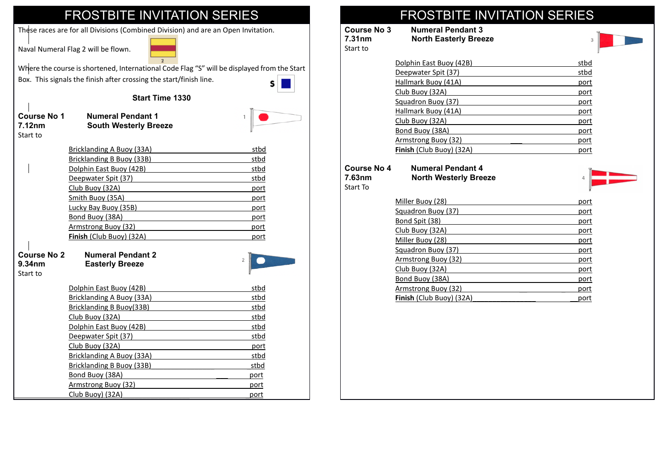|                                                                                   | <b>FROSTBITE INVITATION SERIES</b> |
|-----------------------------------------------------------------------------------|------------------------------------|
| These races are for all Divisions (Combined Division) and are an Open Invitation. |                                    |
|                                                                                   |                                    |

Naval Numeral Flag 2 will be flown.

Start to

**Course No 2 9.34nm** Start to

Where the course is shortened, International Code Flag "S" will be displayed from the Start Box. This signals the finish after crossing the start/finish line.  $\mathsf{s}$ 

## **Start Time 1330**

**Course No 1** Numeral Pendant 1<br>7.12nm South Westerly Bre **South Westerly Breeze** 



| Bricklanding A Buoy (33A)                          | stbd           |
|----------------------------------------------------|----------------|
| Bricklanding B Buoy (33B)                          | stbd           |
| Dolphin East Buoy (42B)                            | stbd           |
| Deepwater Spit (37)                                | stbd           |
| Club Buoy (32A)                                    | port           |
| Smith Buoy (35A)                                   | port           |
| Lucky Bay Buoy (35B)                               | port           |
| Bond Buoy (38A)                                    | port           |
| Armstrong Buoy (32)                                | port           |
| Finish (Club Buoy) (32A)                           | port           |
| <b>Numeral Pendant 2</b><br><b>Easterly Breeze</b> | $\overline{2}$ |

| Dolphin East Buoy (42B)   | stbd |
|---------------------------|------|
| Bricklanding A Buoy (33A) | stbd |
| Bricklanding B Buoy(33B)  | stbd |
| Club Buoy (32A)           | stbd |
| Dolphin East Buoy (42B)   | stbd |
| Deepwater Spit (37)       | stbd |
| Club Buoy (32A)           | port |
| Bricklanding A Buoy (33A) | stbd |
| Bricklanding B Buoy (33B) | stbd |
| Bond Buoy (38A)           | port |
| Armstrong Buoy (32)       | port |
| Club Buoy) (32A)          | port |

# FROSTBITE INVITATION SERIES

**Course No 3** Numeral Pendant 3<br>7.31nm **North Easterly Bree North Easterly Breeze** Start to

| Dolphin East Buoy (42B)    | stbd |
|----------------------------|------|
| Deepwater Spit (37)        | stbd |
| Hallmark Buoy (41A)        | port |
| Club Buoy (32A)            | port |
| Squadron Buoy (37)         | port |
| Hallmark Buoy (41A)        | port |
| Club Buoy (32A)            | port |
| Bond Buoy (38A)            | port |
| <b>Armstrong Buoy (32)</b> | port |
| Finish (Club Buoy) (32A)   | port |
|                            |      |

### **Course No 4 Numeral Pendant 4**<br>7.63nm **North Westerly Bree North Westerly Breeze** Start To





| port |
|------|
| port |
| port |
| port |
| port |
| port |
| port |
| port |
| port |
| port |
| port |
|      |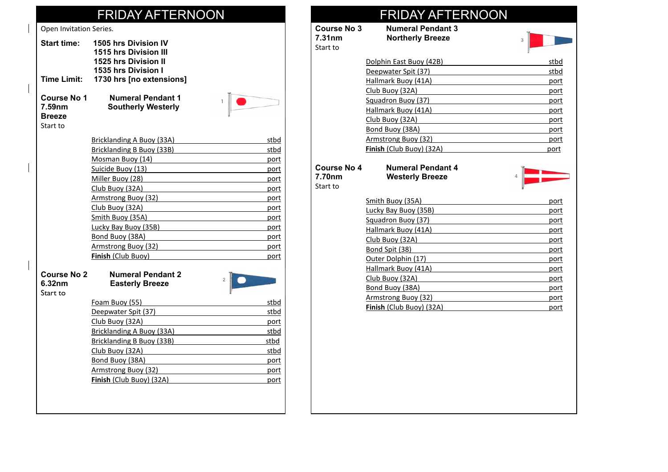|                         | <b>FRIDAY AFTERNOON</b>                              |      |                    | <b>FRIDAY AFTERNOON</b>  |
|-------------------------|------------------------------------------------------|------|--------------------|--------------------------|
| Open Invitation Series. |                                                      |      | Course No 3        | <b>Numeral Pendant 3</b> |
| <b>Start time:</b>      | 1505 hrs Division IV<br><b>1515 hrs Division III</b> |      | 7.31nm<br>Start to | <b>Northerly Breeze</b>  |
|                         | <b>1525 hrs Division II</b>                          |      |                    | Dolphin East Buoy (42B)  |
| <b>Time Limit:</b>      | 1535 hrs Division I                                  |      |                    | Deepwater Spit (37)      |
|                         | 1730 hrs [no extensions]                             |      |                    | Hallmark Buoy (41A)      |
| Course No 1             | <b>Numeral Pendant 1</b>                             |      |                    | Club Buoy (32A)          |
| 7.59nm                  | <b>Southerly Westerly</b>                            |      |                    | Squadron Buoy (37)       |
| <b>Breeze</b>           |                                                      |      |                    | Hallmark Buoy (41A)      |
| Start to                |                                                      |      |                    | Club Buoy (32A)          |
|                         |                                                      |      |                    | Bond Buoy (38A)          |
|                         | Bricklanding A Buoy (33A)                            | stbd |                    | Armstrong Buoy (32)      |
|                         | Bricklanding B Buoy (33B)                            | stbd |                    | Finish (Club Buoy) (32A) |
|                         | Mosman Buoy (14)                                     | port |                    |                          |
|                         | Suicide Buoy (13)                                    | port | <b>Course No 4</b> | <b>Numeral Pendant 4</b> |
|                         | Miller Buoy (28)                                     | port | 7.70 <sub>nm</sub> | <b>Westerly Breeze</b>   |
|                         | Club Buoy (32A)                                      | port | Start to           |                          |
|                         | Armstrong Buoy (32)                                  | port |                    | Smith Buoy (35A)         |
|                         | Club Buoy (32A)                                      | port |                    | Lucky Bay Buoy (35B)     |
|                         | Smith Buoy (35A)                                     | port |                    | Squadron Buoy (37)       |
|                         | Lucky Bay Buoy (35B)                                 | port |                    | Hallmark Buoy (41A)      |
|                         | Bond Buoy (38A)                                      | port |                    | Club Buoy (32A)          |
|                         | Armstrong Buoy (32)                                  | port |                    | Bond Spit (38)           |
|                         | Finish (Club Buoy)                                   | port |                    | Outer Dolphin (17)       |
|                         |                                                      |      |                    | Hallmark Buoy (41A)      |
| Course No 2             | <b>Numeral Pendant 2</b>                             |      |                    | Club Buoy (32A)          |
| 6.32nm                  | <b>Easterly Breeze</b>                               |      |                    | Bond Buoy (38A)          |
| Start to                |                                                      |      |                    | Armstrong Buoy (32)      |
|                         | Foam Buoy (55)                                       | stbd |                    | Finish (Club Buoy) (32A) |
|                         | Deepwater Spit (37)                                  | stbd |                    |                          |
|                         | Club Buoy (32A)                                      | port |                    |                          |
|                         | Bricklanding A Buoy (33A)                            | stbd |                    |                          |
|                         | <b>Bricklanding B Buoy (33B)</b>                     | stbd |                    |                          |
|                         | Club Buoy (32A)                                      | stbd |                    |                          |
|                         | Bond Buoy (38A)                                      | port |                    |                          |
|                         | Armstrong Buoy (32)                                  | port |                    |                          |
|                         |                                                      |      |                    |                          |

|                                   | <b>FRIDAY AFTERNOON</b>                             |      |
|-----------------------------------|-----------------------------------------------------|------|
| Course No 3<br>7.31nm<br>Start to | <b>Numeral Pendant 3</b><br><b>Northerly Breeze</b> | 3    |
|                                   |                                                     |      |
|                                   | Dolphin East Buoy (42B)                             | stbd |
|                                   | Deepwater Spit (37)                                 | stbd |
|                                   | Hallmark Buoy (41A)                                 | port |
|                                   | Club Buoy (32A)                                     | port |
|                                   | Squadron Buoy (37)                                  | port |
|                                   | Hallmark Buoy (41A)                                 | port |
|                                   | Club Buoy (32A)                                     | port |
|                                   | Bond Buoy (38A)                                     | port |
|                                   | Armstrong Buoy (32)                                 | port |
|                                   | Finish (Club Buoy) (32A)                            | port |
| Course No 4<br>7.70nm<br>Start to | <b>Numeral Pendant 4</b><br><b>Westerly Breeze</b>  |      |
|                                   | Smith Buoy (35A)                                    | port |
|                                   | Lucky Bay Buoy (35B)                                | port |
|                                   | Squadron Buoy (37)                                  | port |
|                                   | Hallmark Buoy (41A)                                 | port |
|                                   | Club Buoy (32A)                                     | port |
|                                   | Bond Spit (38)                                      | port |
|                                   | Outer Dolphin (17)                                  | port |
|                                   | Hallmark Buoy (41A)                                 | port |
|                                   | Club Buoy (32A)                                     | port |
|                                   | Bond Buoy (38A)                                     | port |
|                                   | Armstrong Buoy (32)                                 | port |
|                                   | Finish (Club Buoy) (32A)                            | port |
|                                   |                                                     |      |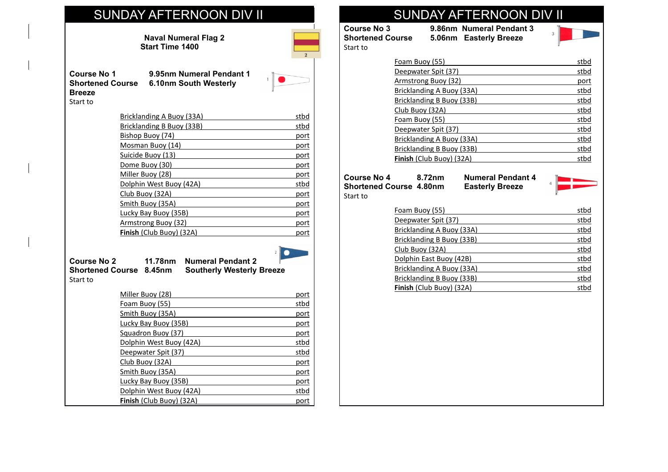**Naval Numeral Flag 2 Start Time 1400**



n

**Course No 1** 9.95nm Numeral Pendant 1<br>Shortened Course 6.10nm South Westerly **6.10nm South Westerly Breeze** Start to

| Bricklanding A Buoy (33A) | stbd |
|---------------------------|------|
| Bricklanding B Buoy (33B) | stbd |
| Bishop Buoy (74)          | port |
| Mosman Buoy (14)          | port |
| Suicide Buoy (13)         | port |
| Dome Buoy (30)            | port |
| Miller Buoy (28)          | port |
| Dolphin West Buoy (42A)   | stbd |
| Club Buoy (32A)           | port |
| Smith Buoy (35A)          | port |
| Lucky Bay Buoy (35B)      | port |
| Armstrong Buoy (32)       | port |
| Finish (Club Buoy) (32A)  | port |
|                           |      |

**Course No 2 11.78nm Numeral Pendant 2 Shortened Course 8.45nm Southerly Westerly Breeze** Start to

| Miller Buoy (28)         | port |
|--------------------------|------|
| Foam Buoy (55)           | stbd |
| Smith Buoy (35A)         | port |
| Lucky Bay Buoy (35B)     | port |
| Squadron Buoy (37)       | port |
| Dolphin West Buoy (42A)  | stbd |
| Deepwater Spit (37)      | stbd |
| Club Buoy (32A)          | port |
| Smith Buoy (35A)         | port |
| Lucky Bay Buoy (35B)     | port |
| Dolphin West Buoy (42A)  | stbd |
| Finish (Club Buoy) (32A) | por  |

# SUNDAY AFTERNOON DIV II SUNDAY AFTERNOON DIV II

Start to

**Course No 3** 9.86nm Numeral Pendant 3<br>
Shortened Course 5.06nm Easterly Breeze **5.06nm Easterly Breeze** 



| Foam Buoy (55)                   | stbd |
|----------------------------------|------|
| Deepwater Spit (37)              | stbd |
| Armstrong Buoy (32)              | port |
| Bricklanding A Buoy (33A)        | stbd |
| Bricklanding B Buoy (33B)        | stbd |
| Club Buoy (32A)                  | stbd |
| Foam Buoy (55)                   | stbd |
| Deepwater Spit (37)              | stbd |
| <b>Bricklanding A Buoy (33A)</b> | stbd |
| Bricklanding B Buoy (33B)        | stbd |
| Finish (Club Buoy) (32A)         | stbd |

**Numeral Pendant 4 Easterly Breeze** 

| Course No 4                    | 8.72nm |
|--------------------------------|--------|
| <b>Shortened Course 4.80nm</b> |        |
| Start to                       |        |



| Foam Buoy (55)            | stbd |
|---------------------------|------|
| Deepwater Spit (37)       | stbd |
| Bricklanding A Buoy (33A) | stbd |
| Bricklanding B Buoy (33B) | stbd |
| Club Buoy (32A)           | stbd |
| Dolphin East Buoy (42B)   | stbd |
| Bricklanding A Buoy (33A) | stbd |
| Bricklanding B Buoy (33B) | stbd |
| Finish (Club Buoy) (32A)  | stbd |
|                           |      |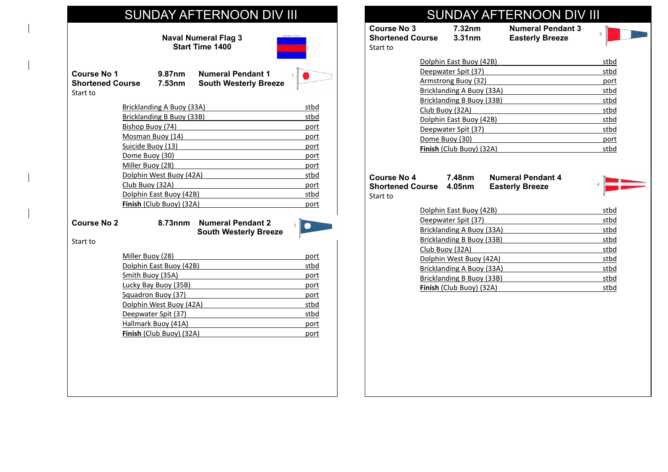# SUNDAY AFTERNOON DIV III SUNDAY AFTERNOON DIV III

**Naval Numeral Flag 3 Start Time 1400**



| Course No 1      | 9.87nm | <b>Numeral Pendant 1</b>     |
|------------------|--------|------------------------------|
| Shortened Course | 7.53nm | <b>South Westerly Breeze</b> |
| Start to         |        |                              |

| Bricklanding A Buoy (33A) | stbd |
|---------------------------|------|
| Bricklanding B Buoy (33B) | stbd |
| Bishop Buoy (74)          | port |
| Mosman Buoy (14)          | port |
| Suicide Buoy (13)         | port |
| Dome Buoy (30)            | port |
| Miller Buoy (28)          | port |
| Dolphin West Buoy (42A)   | stbd |
| Club Buoy (32A)           | port |
| Dolphin East Buoy (42B)   | stbd |
| Finish (Club Buoy) (32A)  | port |
|                           |      |

### **Course No 2 8.73nnm Numeral Pendant 2 South Westerly Breeze**



Start to

| Miller Buoy (28)         | port |
|--------------------------|------|
| Dolphin East Buoy (42B)  | stbd |
| Smith Buoy (35A)         | port |
| Lucky Bay Buoy (35B)     | port |
| Squadron Buoy (37)       | port |
| Dolphin West Buoy (42A)  | stbd |
| Deepwater Spit (37)      | stbd |
| Hallmark Buoy (41A)      | port |
| Finish (Club Buoy) (32A) | port |

**Course No 3** 7.32nm **Numeral Pendant 3**<br> **Shortened Course 3.31nm Easterly Breeze Shortened Course** Start to



| Dolphin East Buoy (42B)          | stbd |
|----------------------------------|------|
| Deepwater Spit (37)              | stbd |
| Armstrong Buoy (32)              | port |
| <b>Bricklanding A Buoy (33A)</b> | stbd |
| Bricklanding B Buoy (33B)        | stbd |
| Club Buoy (32A)                  | stbd |
| Dolphin East Buoy (42B)          | stbd |
| Deepwater Spit (37)              | stbd |
| Dome Buoy (30)                   | port |
| Finish (Club Buoy) (32A)         | stbd |

## **Shortened Course 4.05nm** Start to

**Course No 4 7.48nm Numeral Pendant 4<br>Shortened Course 4.05nm Easterly Breeze** 

| Dolphin East Buoy (42B)   | stbd |
|---------------------------|------|
| Deepwater Spit (37)       | stbd |
| Bricklanding A Buoy (33A) | stbd |
| Bricklanding B Buoy (33B) | stbd |
| Club Buoy (32A)           | stbd |
| Dolphin West Buoy (42A)   | stbd |
| Bricklanding A Buoy (33A) | stbd |
| Bricklanding B Buoy (33B) | stbd |
| Finish (Club Buoy) (32A)  | stbd |
|                           |      |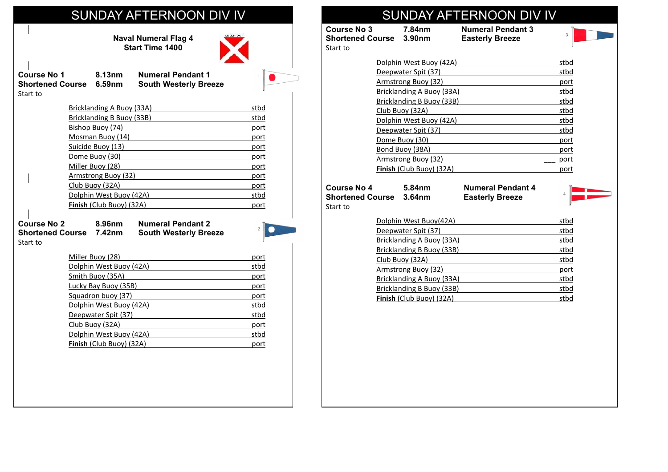**Naval Numeral Flag 4 Start Time 1400**



 $\bullet$ 

**Shortened Course 6.59nm** Start to

**Course No 1** 8.13nm Numeral Pendant 1<br>Shortened Course 6.59nm South Westerly Breeze

| Bricklanding A Buoy (33A) | stbd |
|---------------------------|------|
| Bricklanding B Buoy (33B) | stbd |
| Bishop Buoy (74)          | port |
| Mosman Buoy (14)          | port |
| Suicide Buoy (13)         | port |
| Dome Buoy (30)            | port |
| Miller Buoy (28)          | port |
| Armstrong Buoy (32)       | port |
| Club Buoy (32A)           | port |
| Dolphin West Buoy (42A)   | stbd |
| Finish (Club Buoy) (32A)  | port |

**Shortened Course 7.42nm** 

Start to

**Course No 2** 8.96nm Numeral Pendant 2<br>
Shortened Course 7.42nm South Westerly Breeze



| Mill <u>er Buoy (28)</u> | port |
|--------------------------|------|
| Dolphin West Buoy (42A)  | stbd |
| Smith Buoy (35A)         | port |
| Lucky Bay Buoy (35B)     | port |
| Squadron buoy (37)       | port |
| Dolphin West Buoy (42A)  | stbd |
| Deepwater Spit (37)      | stbd |
| Club Buoy (32A)          | port |
| Dolphin West Buoy (42A)  | stbd |
| Finish (Club Buoy) (32A) | port |

## SUNDAY AFTERNOON DIV IV SUNDAY AFTERNOON DIV IV

**Course No 3 7.84nm Mumeral Pendant 3<br>
Shortened Course 3.90nm Easterly Breeze Shortened Course** 3.90nm Start to



| Dolphin West Buoy (42A)    | stbd |
|----------------------------|------|
| Deepwater Spit (37)        | stbd |
| Armstrong Buoy (32)        | port |
| Bricklanding A Buoy (33A)  | stbd |
| Bricklanding B Buoy (33B)  | stbd |
| Club Buoy (32A)            | stbd |
| Dolphin West Buoy (42A)    | stbd |
| Deepwater Spit (37)        | stbd |
| Dome Buoy (30)             | port |
| Bond Buoy (38A)            | port |
| <b>Armstrong Buoy (32)</b> | port |
| Finish (Club Buoy) (32A)   | port |
|                            |      |

| Course No 4             | 5.84 <sub>ni</sub> |
|-------------------------|--------------------|
| <b>Shortened Course</b> | – 3.64nı           |
| Start to                |                    |

**Course 3.84** Mumeral Pendant 4 **Shorterly Breeze** 



| Dolphin West Buoy(42A)           | stbd |
|----------------------------------|------|
| Deepwater Spit (37)              | stbd |
| Bricklanding A Buoy (33A)        | stbd |
| Bricklanding B Buoy (33B)        | stbd |
| Club Buoy (32A)                  | stbd |
| Armstrong Buoy (32)              | port |
| <b>Bricklanding A Buoy (33A)</b> | stbd |
| Bricklanding B Buoy (33B)        | stbd |
| Finish (Club Buoy) (32A)         | stbd |